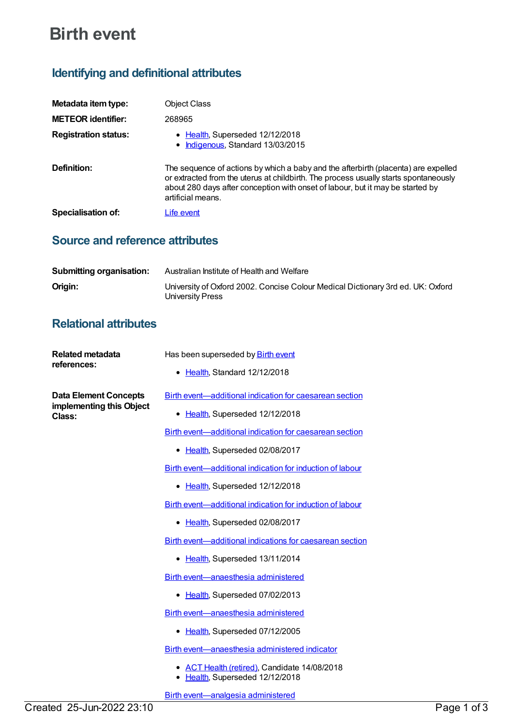# **Birth event**

# **Identifying and definitional attributes**

| Metadata item type:         | <b>Object Class</b>                                                                                                                                                                                                                                                               |
|-----------------------------|-----------------------------------------------------------------------------------------------------------------------------------------------------------------------------------------------------------------------------------------------------------------------------------|
| <b>METEOR</b> identifier:   | 268965                                                                                                                                                                                                                                                                            |
| <b>Registration status:</b> | • Health, Superseded 12/12/2018<br>Indigenous, Standard 13/03/2015                                                                                                                                                                                                                |
| Definition:                 | The sequence of actions by which a baby and the afterbirth (placenta) are expelled<br>or extracted from the uterus at childbirth. The process usually starts spontaneously<br>about 280 days after conception with onset of labour, but it may be started by<br>artificial means. |
| Specialisation of:          | Life event                                                                                                                                                                                                                                                                        |

### **Source and reference attributes**

| <b>Submitting organisation:</b> | Australian Institute of Health and Welfare                                                          |
|---------------------------------|-----------------------------------------------------------------------------------------------------|
| Origin:                         | University of Oxford 2002. Concise Colour Medical Dictionary 3rd ed. UK: Oxford<br>University Press |

## **Relational attributes**

| <b>Related metadata</b><br>references: | Has been superseded by <b>Birth event</b><br>• Health, Standard 12/12/2018      |
|----------------------------------------|---------------------------------------------------------------------------------|
| <b>Data Element Concepts</b>           | Birth event—additional indication for caesarean section                         |
| implementing this Object<br>Class:     | • Health, Superseded 12/12/2018                                                 |
|                                        | Birth event—additional indication for caesarean section                         |
|                                        | • Health, Superseded 02/08/2017                                                 |
|                                        | Birth event—additional indication for induction of labour                       |
|                                        | Health, Superseded 12/12/2018                                                   |
|                                        | Birth event—additional indication for induction of labour                       |
|                                        | • Health, Superseded 02/08/2017                                                 |
|                                        | Birth event-additional indications for caesarean section                        |
|                                        | • Health, Superseded 13/11/2014                                                 |
|                                        | Birth event-anaesthesia administered                                            |
|                                        | Health, Superseded 07/02/2013<br>٠                                              |
|                                        | Birth event-anaesthesia administered                                            |
|                                        | • Health, Superseded 07/12/2005                                                 |
|                                        | Birth event—anaesthesia administered indicator                                  |
|                                        | • ACT Health (retired), Candidate 14/08/2018<br>• Health, Superseded 12/12/2018 |
|                                        | Birth event-analgesia administered                                              |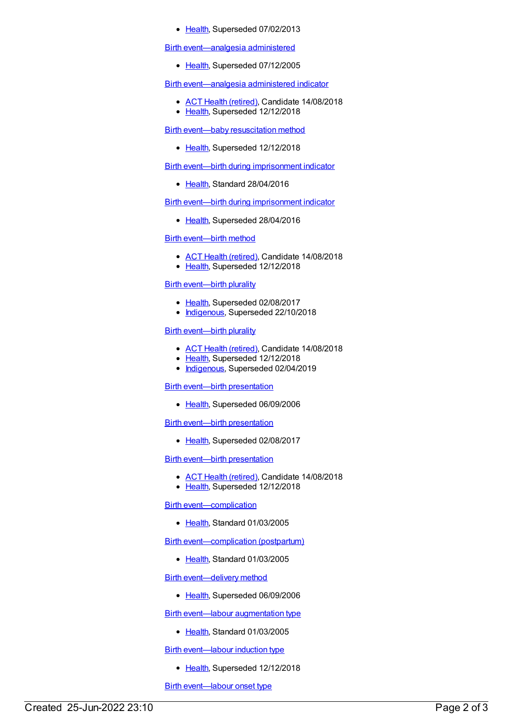• [Health](https://meteor.aihw.gov.au/RegistrationAuthority/12), Superseded 07/02/2013

Birth [event—analgesia](https://meteor.aihw.gov.au/content/269488) administered

• [Health](https://meteor.aihw.gov.au/RegistrationAuthority/12), Superseded 07/12/2005

Birth [event—analgesia](https://meteor.aihw.gov.au/content/495376) administered indicator

- ACT Health [\(retired\)](https://meteor.aihw.gov.au/RegistrationAuthority/9), Candidate 14/08/2018
- [Health](https://meteor.aihw.gov.au/RegistrationAuthority/12), Superseded 12/12/2018

Birth event—baby [resuscitation](https://meteor.aihw.gov.au/content/269410) method

• [Health](https://meteor.aihw.gov.au/RegistrationAuthority/12), Superseded 12/12/2018

Birth event—birth during [imprisonment](https://meteor.aihw.gov.au/content/625273) indicator

• [Health](https://meteor.aihw.gov.au/RegistrationAuthority/12), Standard 28/04/2016

Birth event—birth during [imprisonment](https://meteor.aihw.gov.au/content/483624) indicator

• [Health](https://meteor.aihw.gov.au/RegistrationAuthority/12), Superseded 28/04/2016

Birth [event—birth](https://meteor.aihw.gov.au/content/337672) method

- ACT Health [\(retired\)](https://meteor.aihw.gov.au/RegistrationAuthority/9), Candidate 14/08/2018
- [Health](https://meteor.aihw.gov.au/RegistrationAuthority/12), Superseded 12/12/2018

#### Birth [event—birth](https://meteor.aihw.gov.au/content/269433) plurality

- [Health](https://meteor.aihw.gov.au/RegistrationAuthority/12), Superseded 02/08/2017
- [Indigenous](https://meteor.aihw.gov.au/RegistrationAuthority/6), Superseded 22/10/2018

#### Birth [event—birth](https://meteor.aihw.gov.au/content/669969) plurality

- ACT Health [\(retired\)](https://meteor.aihw.gov.au/RegistrationAuthority/9), Candidate 14/08/2018
- [Health](https://meteor.aihw.gov.au/RegistrationAuthority/12), Superseded 12/12/2018
- [Indigenous](https://meteor.aihw.gov.au/RegistrationAuthority/6), Superseded 02/04/2019

#### Birth event—birth [presentation](https://meteor.aihw.gov.au/content/269464)

• [Health](https://meteor.aihw.gov.au/RegistrationAuthority/12), Superseded 06/09/2006

#### Birth event—birth [presentation](https://meteor.aihw.gov.au/content/300014)

• [Health](https://meteor.aihw.gov.au/RegistrationAuthority/12), Superseded 02/08/2017

#### Birth event—birth [presentation](https://meteor.aihw.gov.au/content/673122)

- ACT Health [\(retired\)](https://meteor.aihw.gov.au/RegistrationAuthority/9), Candidate 14/08/2018
- [Health](https://meteor.aihw.gov.au/RegistrationAuthority/12), Superseded 12/12/2018

Birth [event—complication](https://meteor.aihw.gov.au/content/269436)

• [Health](https://meteor.aihw.gov.au/RegistrationAuthority/12), Standard 01/03/2005

Birth [event—complication](https://meteor.aihw.gov.au/content/269526) (postpartum)

• [Health](https://meteor.aihw.gov.au/RegistrationAuthority/12), Standard 01/03/2005

Birth [event—delivery](https://meteor.aihw.gov.au/content/269506) method

• [Health](https://meteor.aihw.gov.au/RegistrationAuthority/12), Superseded 06/09/2006

Birth [event—labour](https://meteor.aihw.gov.au/content/269507) augmentation type

• [Health](https://meteor.aihw.gov.au/RegistrationAuthority/12), Standard 01/03/2005

Birth [event—labour](https://meteor.aihw.gov.au/content/269508) induction type

• [Health](https://meteor.aihw.gov.au/RegistrationAuthority/12), Superseded 12/12/2018

Birth [event—labour](https://meteor.aihw.gov.au/content/269460) onset type